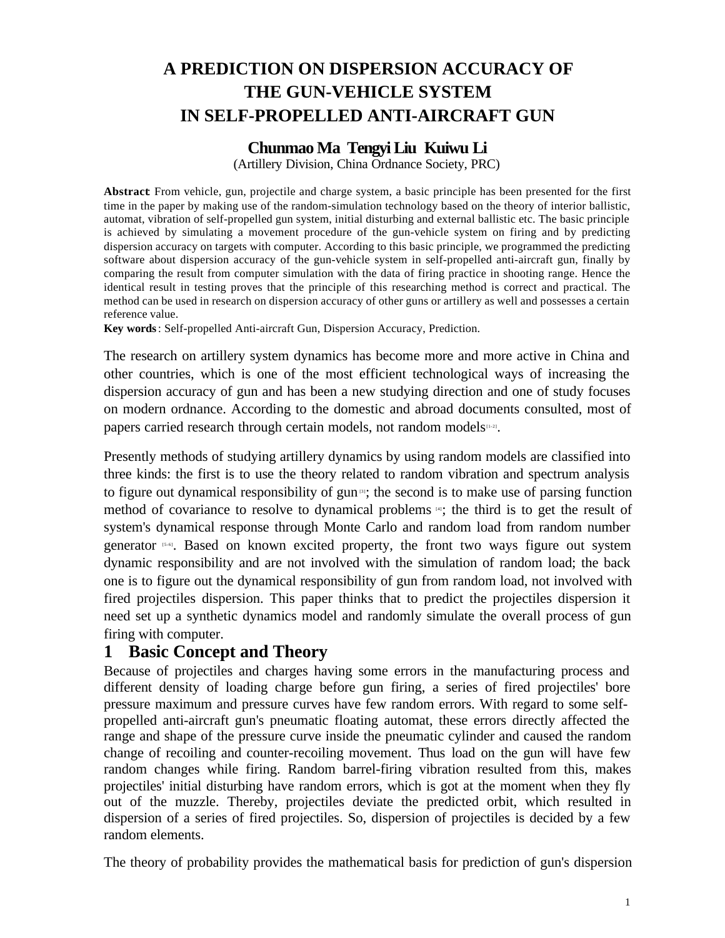# **A PREDICTION ON DISPERSION ACCURACY OF THE GUN-VEHICLE SYSTEM IN SELF-PROPELLED ANTI-AIRCRAFT GUN**

## **Chunmao Ma Tengyi Liu Kuiwu Li**

(Artillery Division, China Ordnance Society, PRC)

**Abstract**: From vehicle, gun, projectile and charge system, a basic principle has been presented for the first time in the paper by making use of the random-simulation technology based on the theory of interior ballistic, automat, vibration of self-propelled gun system, initial disturbing and external ballistic etc. The basic principle is achieved by simulating a movement procedure of the gun-vehicle system on firing and by predicting dispersion accuracy on targets with computer. According to this basic principle, we programmed the predicting software about dispersion accuracy of the gun-vehicle system in self-propelled anti-aircraft gun, finally by comparing the result from computer simulation with the data of firing practice in shooting range. Hence the identical result in testing proves that the principle of this researching method is correct and practical. The method can be used in research on dispersion accuracy of other guns or artillery as well and possesses a certain reference value.

**Key words**: Self-propelled Anti-aircraft Gun, Dispersion Accuracy, Prediction.

The research on artillery system dynamics has become more and more active in China and other countries, which is one of the most efficient technological ways of increasing the dispersion accuracy of gun and has been a new studying direction and one of study focuses on modern ordnance. According to the domestic and abroad documents consulted, most of papers carried research through certain models, not random models<sup>[1-2]</sup>.

Presently methods of studying artillery dynamics by using random models are classified into three kinds: the first is to use the theory related to random vibration and spectrum analysis to figure out dynamical responsibility of gun $\mathbb{R}$ ; the second is to make use of parsing function method of covariance to resolve to dynamical problems [4]; the third is to get the result of system's dynamical response through Monte Carlo and random load from random number generator [5-6]. Based on known excited property, the front two ways figure out system dynamic responsibility and are not involved with the simulation of random load; the back one is to figure out the dynamical responsibility of gun from random load, not involved with fired projectiles dispersion. This paper thinks that to predict the projectiles dispersion it need set up a synthetic dynamics model and randomly simulate the overall process of gun firing with computer.

## **1 Basic Concept and Theory**

Because of projectiles and charges having some errors in the manufacturing process and different density of loading charge before gun firing, a series of fired projectiles' bore pressure maximum and pressure curves have few random errors. With regard to some selfpropelled anti-aircraft gun's pneumatic floating automat, these errors directly affected the range and shape of the pressure curve inside the pneumatic cylinder and caused the random change of recoiling and counter-recoiling movement. Thus load on the gun will have few random changes while firing. Random barrel-firing vibration resulted from this, makes projectiles' initial disturbing have random errors, which is got at the moment when they fly out of the muzzle. Thereby, projectiles deviate the predicted orbit, which resulted in dispersion of a series of fired projectiles. So, dispersion of projectiles is decided by a few random elements.

The theory of probability provides the mathematical basis for prediction of gun's dispersion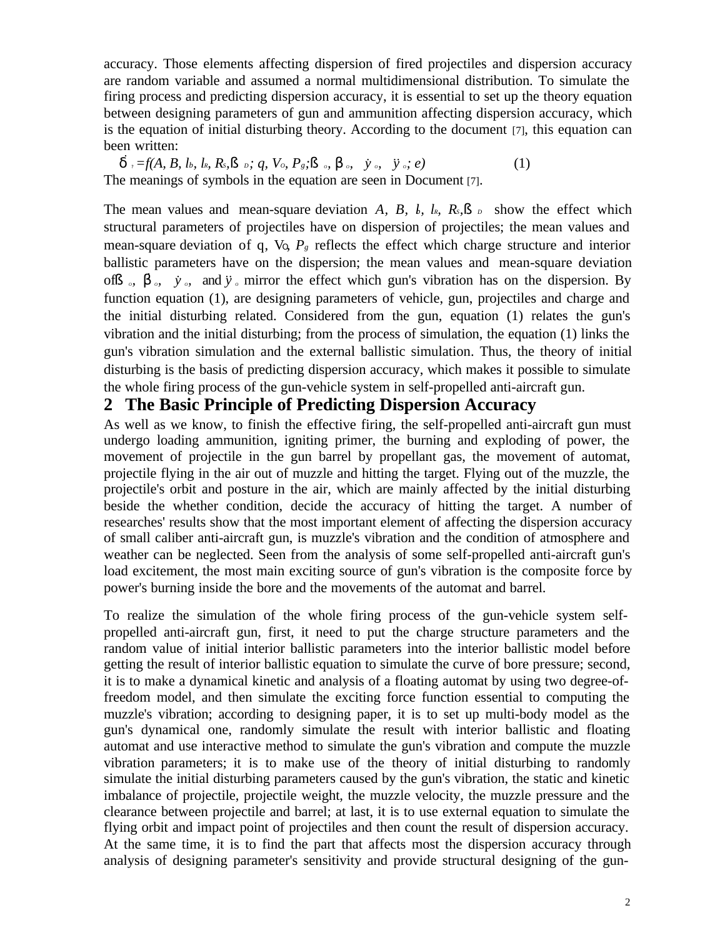accuracy. Those elements affecting dispersion of fired projectiles and dispersion accuracy are random variable and assumed a normal multidimensional distribution. To simulate the firing process and predicting dispersion accuracy, it is essential to set up the theory equation between designing parameters of gun and ammunition affecting dispersion accuracy, which is the equation of initial disturbing theory. According to the document [7], this equation can been written:

 $\mathbf{\dot{d}}$ , = f(A, B, l<sub>b</sub>, l<sub>b</sub>, R<sub>s</sub>,  $\mathbf{\beta}$ <sub>b</sub>; q, V<sub>o</sub>, P<sub>s</sub>;  $\mathbf{\beta}$ <sub>o</sub>,  $\mathbf{\dot{b}}$ <sub>o</sub>,  $\dot{y}$ <sub>o</sub>,  $\ddot{y}$ <sub>o</sub>; e) (1) The meanings of symbols in the equation are seen in Document [7].

The mean values and mean-square deviation *A*, *B*, *b*, *l<sub>k</sub>*, *R*<sub>*s*</sub>, *B*<sub>*D*</sub> show the effect which structural parameters of projectiles have on dispersion of projectiles; the mean values and mean-square deviation of q,  $V_0$ ,  $P_g$  reflects the effect which charge structure and interior ballistic parameters have on the dispersion; the mean values and mean-square deviation of  $\vec{B}$   $\phi$ ,  $\vec{b}$   $\phi$ ,  $\dot{y}$ , and  $\ddot{y}$ , mirror the effect which gun's vibration has on the dispersion. By function equation (1), are designing parameters of vehicle, gun, projectiles and charge and the initial disturbing related. Considered from the gun, equation (1) relates the gun's vibration and the initial disturbing; from the process of simulation, the equation (1) links the gun's vibration simulation and the external ballistic simulation. Thus, the theory of initial disturbing is the basis of predicting dispersion accuracy, which makes it possible to simulate the whole firing process of the gun-vehicle system in self-propelled anti-aircraft gun.

## **2 The Basic Principle of Predicting Dispersion Accuracy**

As well as we know, to finish the effective firing, the self-propelled anti-aircraft gun must undergo loading ammunition, igniting primer, the burning and exploding of power, the movement of projectile in the gun barrel by propellant gas, the movement of automat, projectile flying in the air out of muzzle and hitting the target. Flying out of the muzzle, the projectile's orbit and posture in the air, which are mainly affected by the initial disturbing beside the whether condition, decide the accuracy of hitting the target. A number of researches' results show that the most important element of affecting the dispersion accuracy of small caliber anti-aircraft gun, is muzzle's vibration and the condition of atmosphere and weather can be neglected. Seen from the analysis of some self-propelled anti-aircraft gun's load excitement, the most main exciting source of gun's vibration is the composite force by power's burning inside the bore and the movements of the automat and barrel.

To realize the simulation of the whole firing process of the gun-vehicle system selfpropelled anti-aircraft gun, first, it need to put the charge structure parameters and the random value of initial interior ballistic parameters into the interior ballistic model before getting the result of interior ballistic equation to simulate the curve of bore pressure; second, it is to make a dynamical kinetic and analysis of a floating automat by using two degree-offreedom model, and then simulate the exciting force function essential to computing the muzzle's vibration; according to designing paper, it is to set up multi-body model as the gun's dynamical one, randomly simulate the result with interior ballistic and floating automat and use interactive method to simulate the gun's vibration and compute the muzzle vibration parameters; it is to make use of the theory of initial disturbing to randomly simulate the initial disturbing parameters caused by the gun's vibration, the static and kinetic imbalance of projectile, projectile weight, the muzzle velocity, the muzzle pressure and the clearance between projectile and barrel; at last, it is to use external equation to simulate the flying orbit and impact point of projectiles and then count the result of dispersion accuracy. At the same time, it is to find the part that affects most the dispersion accuracy through analysis of designing parameter's sensitivity and provide structural designing of the gun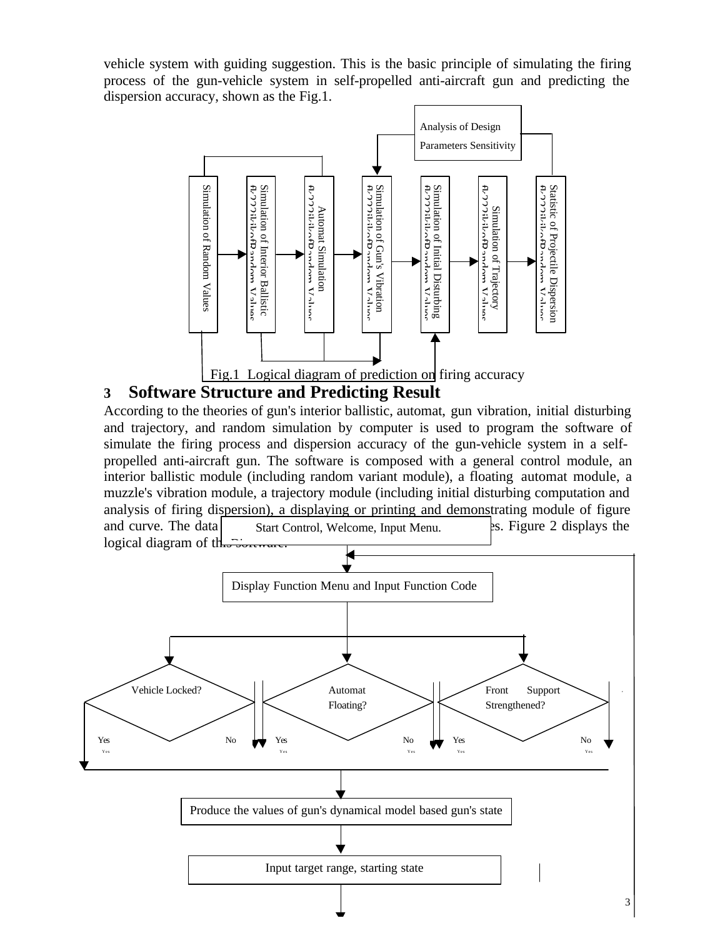vehicle system with guiding suggestion. This is the basic principle of simulating the firing process of the gun-vehicle system in self-propelled anti-aircraft gun and predicting the dispersion accuracy, shown as the Fig.1.



## **3 Software Structure and Predicting Result**

According to the theories of gun's interior ballistic, automat, gun vibration, initial disturbing and trajectory, and random simulation by computer is used to program the software of simulate the firing process and dispersion accuracy of the gun-vehicle system in a selfpropelled anti-aircraft gun. The software is composed with a general control module, an interior ballistic module (including random variant module), a floating automat module, a muzzle's vibration module, a trajectory module (including initial disturbing computation and analysis of firing dispersion), a displaying or printing and demonstrating module of figure and curve. The data  $\vert$  Start Control, Welcome, Input Menu.  $\vert$  es. Figure 2 displays the Fig.1 Logical diagram of the Text diagram of the Text diagram of the Text diagram of the Text diagram of the Text diagram of the Text diagram of the Text diagram of the Text diagram of the Text diagram of the Text diagram  $\tilde{\phantom{a}}$ 

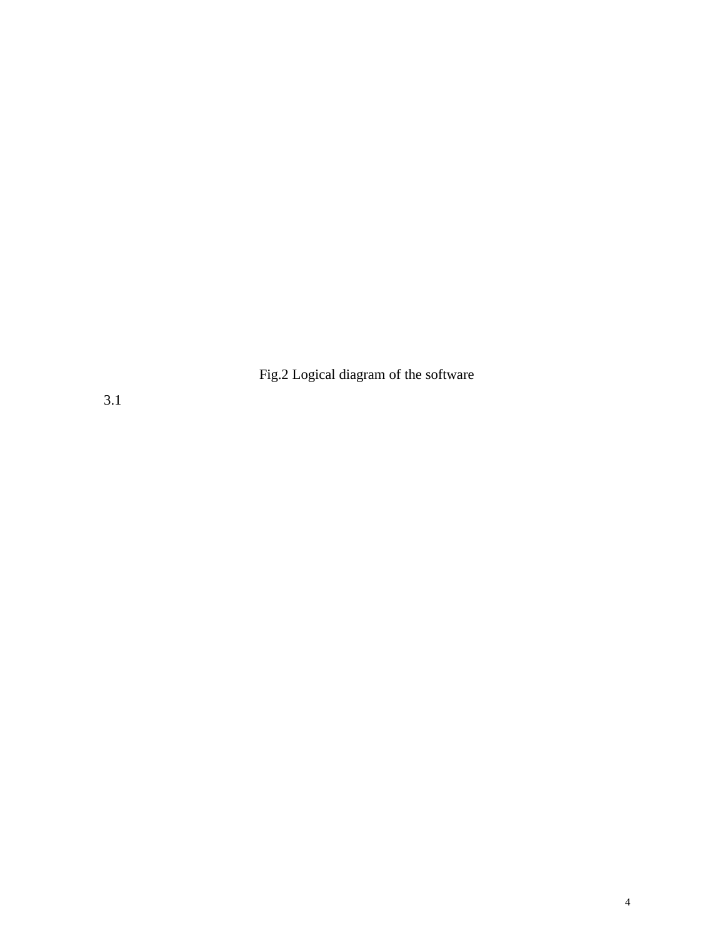Fig.2 Logical diagram of the software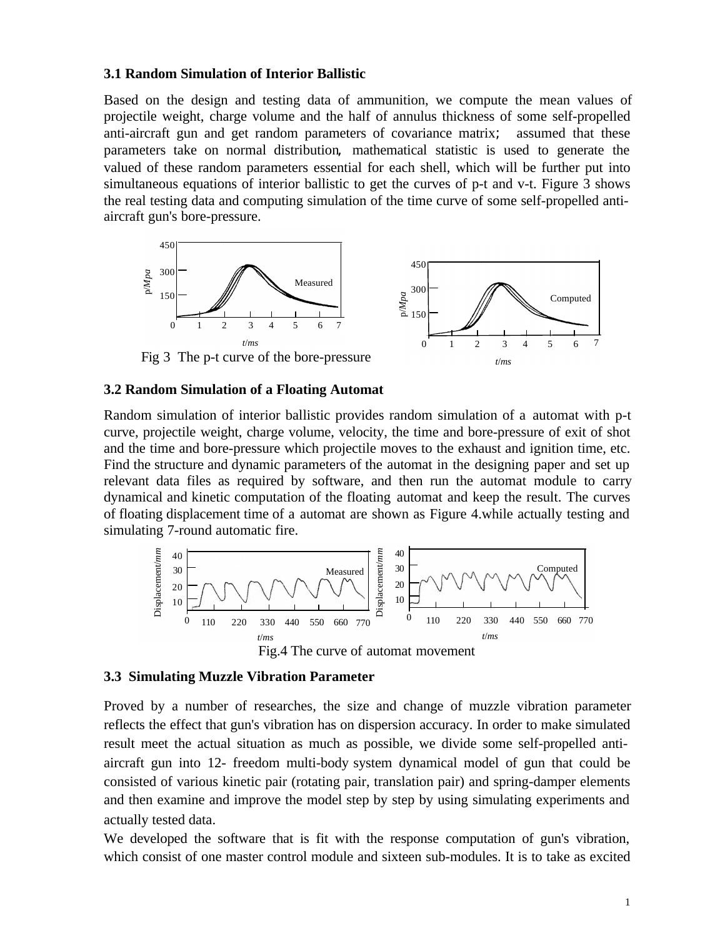#### **3.1 Random Simulation of Interior Ballistic**

Based on the design and testing data of ammunition, we compute the mean values of projectile weight, charge volume and the half of annulus thickness of some self-propelled anti-aircraft gun and get random parameters of covariance matrix; assumed that these parameters take on normal distribution, mathematical statistic is used to generate the valued of these random parameters essential for each shell, which will be further put into simultaneous equations of interior ballistic to get the curves of p-t and v-t. Figure 3 shows the real testing data and computing simulation of the time curve of some self-propelled antiaircraft gun's bore-pressure.



#### **3.2 Random Simulation of a Floating Automat**

Random simulation of interior ballistic provides random simulation of a automat with p-t curve, projectile weight, charge volume, velocity, the time and bore-pressure of exit of shot and the time and bore-pressure which projectile moves to the exhaust and ignition time, etc. Find the structure and dynamic parameters of the automat in the designing paper and set up relevant data files as required by software, and then run the automat module to carry dynamical and kinetic computation of the floating automat and keep the result. The curves of floating displacement time of a automat are shown as Figure 4.while actually testing and simulating 7-round automatic fire.





#### **3.3 Simulating Muzzle Vibration Parameter**

Proved by a number of researches, the size and change of muzzle vibration parameter reflects the effect that gun's vibration has on dispersion accuracy. In order to make simulated result meet the actual situation as much as possible, we divide some self-propelled antiaircraft gun into 12- freedom multi-body system dynamical model of gun that could be consisted of various kinetic pair (rotating pair, translation pair) and spring-damper elements and then examine and improve the model step by step by using simulating experiments and actually tested data.

We developed the software that is fit with the response computation of gun's vibration, which consist of one master control module and sixteen sub-modules. It is to take as excited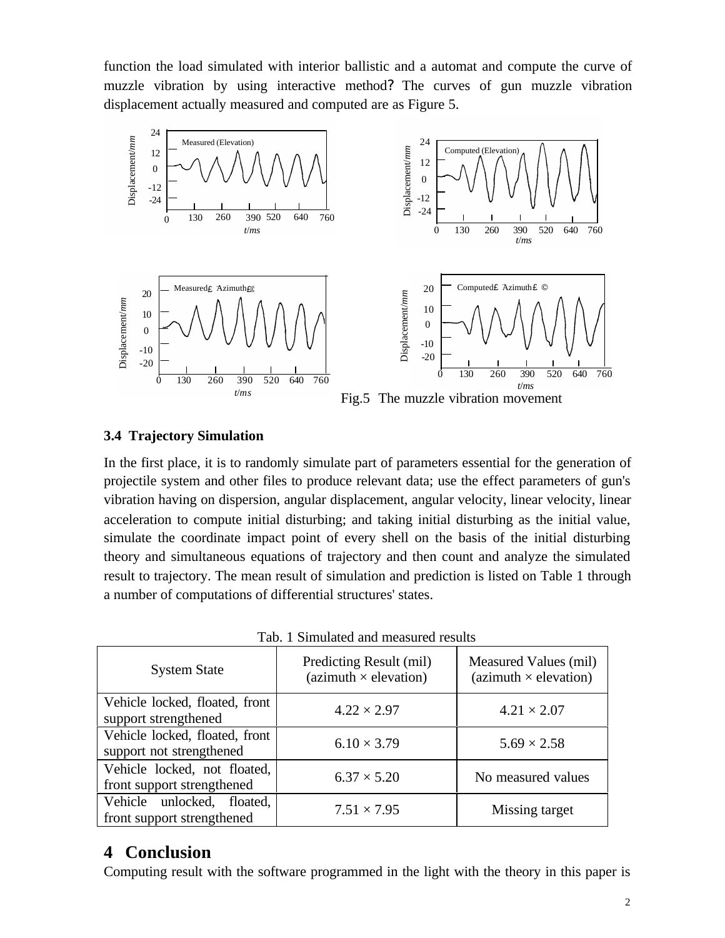function the load simulated with interior ballistic and a automat and compute the curve of muzzle vibration by using interactive method? The curves of gun muzzle vibration displacement actually measured and computed are as Figure 5.



### **3.4 Trajectory Simulation**

In the first place, it is to randomly simulate part of parameters essential for the generation of projectile system and other files to produce relevant data; use the effect parameters of gun's vibration having on dispersion, angular displacement, angular velocity, linear velocity, linear acceleration to compute initial disturbing; and taking initial disturbing as the initial value, simulate the coordinate impact point of every shell on the basis of the initial disturbing theory and simultaneous equations of trajectory and then count and analyze the simulated result to trajectory. The mean result of simulation and prediction is listed on Table 1 through a number of computations of differential structures' states.

| <b>System State</b>                                        | Predicting Result (mil)<br>$(azimuth \times elevation)$ | Measured Values (mil)<br>$(azimuth \times elevation)$ |
|------------------------------------------------------------|---------------------------------------------------------|-------------------------------------------------------|
| Vehicle locked, floated, front<br>support strengthened     | $4.22 \times 2.97$                                      | $4.21 \times 2.07$                                    |
| Vehicle locked, floated, front<br>support not strengthened | $6.10 \times 3.79$                                      | $5.69 \times 2.58$                                    |
| Vehicle locked, not floated,<br>front support strengthened | $6.37 \times 5.20$                                      | No measured values                                    |
| Vehicle unlocked, floated,<br>front support strengthened   | $7.51 \times 7.95$                                      | Missing target                                        |

Tab. 1 Simulated and measured results

## **4 Conclusion**

Computing result with the software programmed in the light with the theory in this paper is